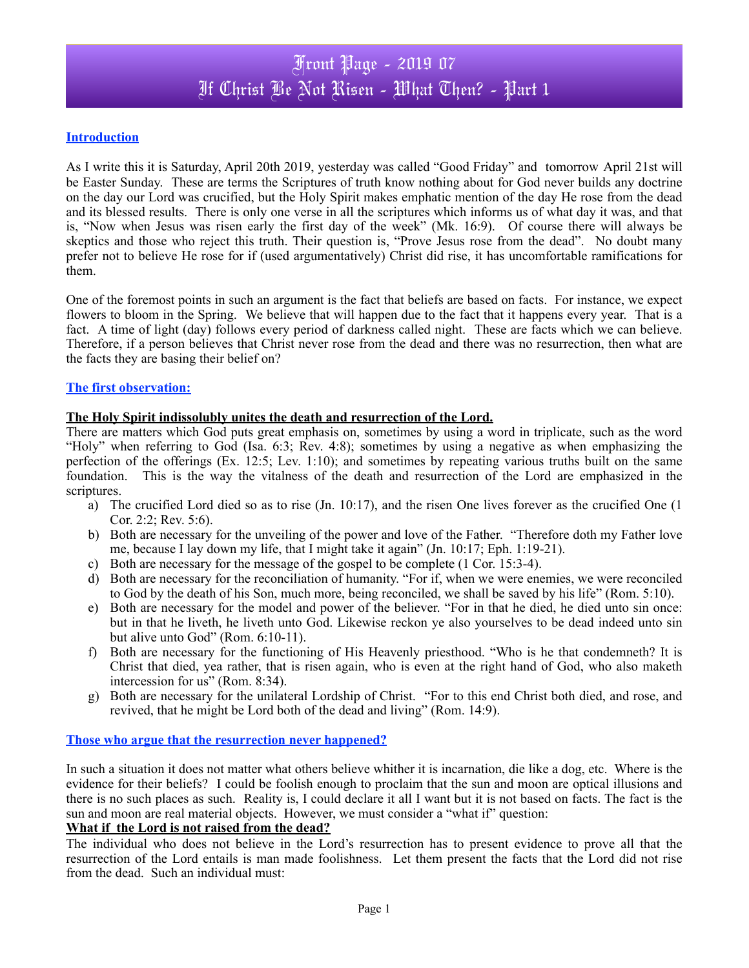## **Introduction**

As I write this it is Saturday, April 20th 2019, yesterday was called "Good Friday" and tomorrow April 21st will be Easter Sunday. These are terms the Scriptures of truth know nothing about for God never builds any doctrine on the day our Lord was crucified, but the Holy Spirit makes emphatic mention of the day He rose from the dead and its blessed results. There is only one verse in all the scriptures which informs us of what day it was, and that is, "Now when Jesus was risen early the first day of the week" (Mk. 16:9). Of course there will always be skeptics and those who reject this truth. Their question is, "Prove Jesus rose from the dead". No doubt many prefer not to believe He rose for if (used argumentatively) Christ did rise, it has uncomfortable ramifications for them.

One of the foremost points in such an argument is the fact that beliefs are based on facts. For instance, we expect flowers to bloom in the Spring. We believe that will happen due to the fact that it happens every year. That is a fact. A time of light (day) follows every period of darkness called night. These are facts which we can believe. Therefore, if a person believes that Christ never rose from the dead and there was no resurrection, then what are the facts they are basing their belief on?

## **The first observation:**

## **The Holy Spirit indissolubly unites the death and resurrection of the Lord.**

There are matters which God puts great emphasis on, sometimes by using a word in triplicate, such as the word "Holy" when referring to God (Isa. 6:3; Rev. 4:8); sometimes by using a negative as when emphasizing the perfection of the offerings (Ex. 12:5; Lev. 1:10); and sometimes by repeating various truths built on the same foundation. This is the way the vitalness of the death and resurrection of the Lord are emphasized in the scriptures.

- a) The crucified Lord died so as to rise (Jn. 10:17), and the risen One lives forever as the crucified One (1 Cor. 2:2; Rev. 5:6).
- b) Both are necessary for the unveiling of the power and love of the Father. "Therefore doth my Father love me, because I lay down my life, that I might take it again" (Jn. 10:17; Eph. 1:19-21).
- c) Both are necessary for the message of the gospel to be complete (1 Cor. 15:3-4).
- d) Both are necessary for the reconciliation of humanity. "For if, when we were enemies, we were reconciled to God by the death of his Son, much more, being reconciled, we shall be saved by his life" (Rom. 5:10).
- e) Both are necessary for the model and power of the believer. "For in that he died, he died unto sin once: but in that he liveth, he liveth unto God. Likewise reckon ye also yourselves to be dead indeed unto sin but alive unto God" (Rom. 6:10-11).
- f) Both are necessary for the functioning of His Heavenly priesthood. "Who is he that condemneth? It is Christ that died, yea rather, that is risen again, who is even at the right hand of God, who also maketh intercession for us" (Rom. 8:34).
- g) Both are necessary for the unilateral Lordship of Christ. "For to this end Christ both died, and rose, and revived, that he might be Lord both of the dead and living" (Rom. 14:9).

#### **Those who argue that the resurrection never happened?**

In such a situation it does not matter what others believe whither it is incarnation, die like a dog, etc. Where is the evidence for their beliefs? I could be foolish enough to proclaim that the sun and moon are optical illusions and there is no such places as such. Reality is, I could declare it all I want but it is not based on facts. The fact is the sun and moon are real material objects. However, we must consider a "what if" question:

## **What if the Lord is not raised from the dead?**

The individual who does not believe in the Lord's resurrection has to present evidence to prove all that the resurrection of the Lord entails is man made foolishness. Let them present the facts that the Lord did not rise from the dead. Such an individual must: